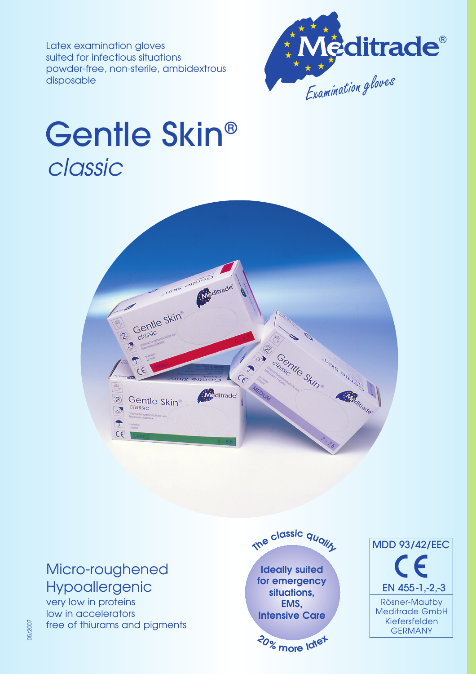Latex examination gloves suited for infectious situations powder-free, non-sterile, ambidextrous disposable



## Gentle Skin® classic



### Micro-roughened Hypoallergenic

very low in proteins low in accelerators free of thiurams and pigments